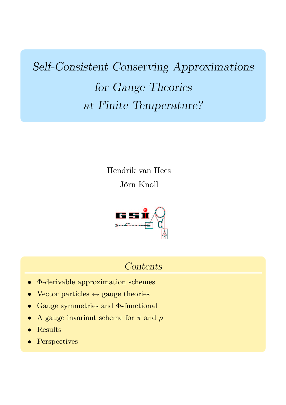# Self-Consistent Conserving Approximations for Gauge Theories at Finite Temperature?

Hendrik van Hees Jörn Knoll



#### Contents

- Φ-derivable approximation schemes
- Vector particles  $\leftrightarrow$  gauge theories
- Gauge symmetries and Φ-functional
- A gauge invariant scheme for  $\pi$  and  $\rho$
- Results
- Perspectives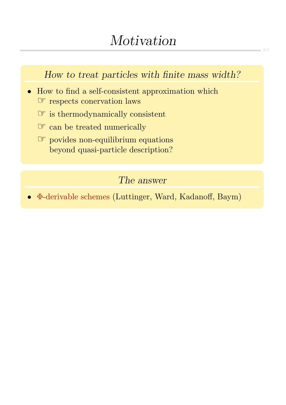## Motivation

#2

### How to treat particles with finite mass width?

- How to find a self-consistent approximation which ☞ respects conervation laws
	- ☞ is thermodynamically consistent
	- ☞ can be treated numerically
	- ☞ povides non-equilibrium equations beyond quasi-particle description?

#### The answer

• Φ-derivable schemes (Luttinger, Ward, Kadanoff, Baym)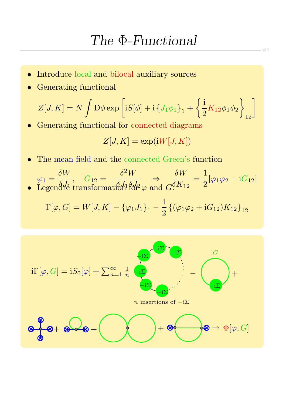- Introduce local and bilocal auxiliary sources
- Generating functional

$$
Z[J,K] = N \int \mathcal{D}\phi \exp\left[iS[\phi] + i\left\{J_1\phi_1\right\}_1 + \left\{\frac{i}{2}K_{12}\phi_1\phi_2\right\}_{12}\right]
$$

• Generating functional for connected diagrams

$$
Z[J,K] = \exp(iW[J,K])
$$

• The mean field and the connected Green's function

 $\varphi_1 =$  $\delta W$  $\delta J_1$  $, G_{12} = \delta^2 W$  $\delta J_1 \delta J_2$ ⇒  $\delta W$  $\delta K_{12}$ = 1 2  $[\varphi_1\varphi_2+iG_{12}]$ • Legendre transformation for  $\varphi$  and  $G$ :

$$
\Gamma[\varphi, G] = W[J, K] - {\varphi_1 J_1}_1 - \frac{1}{2} \{ (\varphi_1 \varphi_2 + i G_{12}) K_{12} \}_{12}
$$

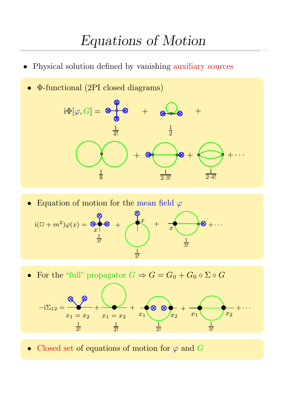- Physical solution defined by vanishing auxiliary sources
- Φ-functional (2PI closed diagrams)



• Equation of motion for the mean field  $\varphi$ 



• For the "full" propagator  $G \Rightarrow G = G_0 + G_0 \circ \Sigma \circ G$ 



• Closed set of equations of motion for  $\varphi$  and  $G$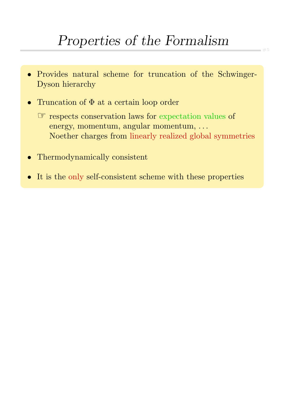### Properties of the Formalism

- Provides natural scheme for truncation of the Schwinger-Dyson hierarchy
- Truncation of Φ at a certain loop order
	- ☞ respects conservation laws for expectation values of energy, momentum, angular momentum, . . . Noether charges from linearly realized global symmetries
- Thermodynamically consistent
- It is the only self-consistent scheme with these properties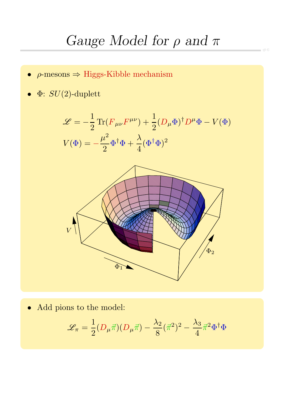- $\rho$ -mesons  $\Rightarrow$  Higgs-Kibble mechanism
- $\Phi$ :  $SU(2)$ -duplett

$$
\mathcal{L} = -\frac{1}{2} \text{Tr}(F_{\mu\nu}F^{\mu\nu}) + \frac{1}{2} (D_{\mu}\Phi)^{\dagger} D^{\mu}\Phi - V(\Phi)
$$

$$
V(\Phi) = -\frac{\mu^2}{2} \Phi^{\dagger} \Phi + \frac{\lambda}{4} (\Phi^{\dagger} \Phi)^2
$$



• Add pions to the model:

$$
\mathscr{L}_\pi = \frac{1}{2}(D_\mu \vec{\pi})(D_\mu \vec{\pi}) - \frac{\lambda_2}{8}(\vec{\pi}^2)^2 - \frac{\lambda_3}{4} \vec{\pi}^2 \Phi^\dagger \Phi
$$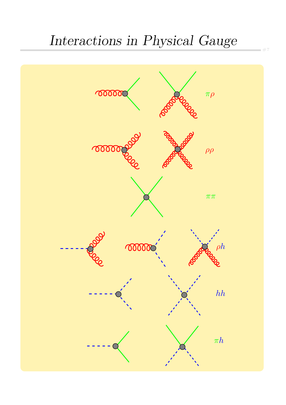## Interactions in Physical Gauge

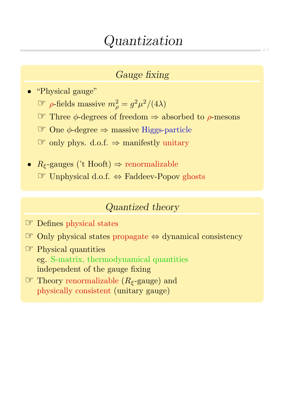### Gauge fixing

• "Physical gauge"

- $\mathscr{F}$  *ρ*-fields massive  $m_{\rho}^2 = g^2 \mu^2/(4\lambda)$
- ☞ Three φ-degrees of freedom ⇒ absorbed to ρ-mesons
- ☞ One φ-degree ⇒ massive Higgs-particle
- ☞ only phys. d.o.f. ⇒ manifestly unitary
- $R_{\xi}$ -gauges ('t Hooft)  $\Rightarrow$  renormalizable ☞ Unphysical d.o.f. ⇔ Faddeev-Popov ghosts

### Quantized theory

- ☞ Defines physical states
- ☞ Only physical states propagate ⇔ dynamical consistency
- ☞ Physical quantities eg. S-matrix, thermodynamical quantities independent of the gauge fixing
- $\circ$  Theory renormalizable ( $R_{\xi}$ -gauge) and physically consistent (unitary gauge)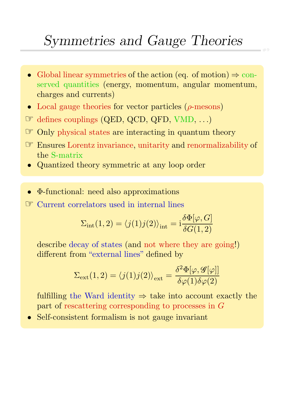- Global linear symmetries of the action (eq. of motion)  $\Rightarrow$  conserved quantities (energy, momentum, angular momentum, charges and currents)
- Local gauge theories for vector particles  $(\rho$ -mesons)
- ☞ defines couplings (QED, QCD, QFD, VMD, . . .)
- ☞ Only physical states are interacting in quantum theory
- ☞ Ensures Lorentz invariance, unitarity and renormalizability of the S-matrix
- Quantized theory symmetric at any loop order
- Φ-functional: need also approximations

☞ Current correlators used in internal lines

$$
\Sigma_{\rm int}(1,2)=\langle j(1)j(2)\rangle_{\rm int}={\rm i}\frac{\delta\Phi[\varphi,G]}{\delta G(1,2)}
$$

describe decay of states (and not where they are going!) different from "external lines" defined by

$$
\Sigma_{\rm ext}(1,2) = \langle j(1)j(2)\rangle_{\rm ext} = \frac{\delta^2 \Phi[\varphi, \mathscr{G}[\varphi]]}{\delta \varphi(1)\delta \varphi(2)}
$$

fulfilling the Ward identity  $\Rightarrow$  take into account exactly the part of rescattering corresponding to processes in G

• Self-consistent formalism is not gauge invariant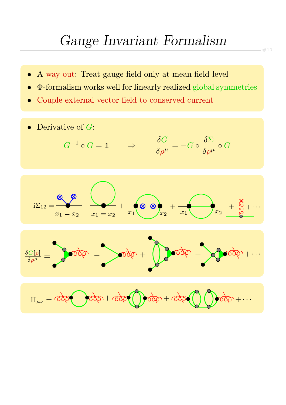- A way out: Treat gauge field only at mean field level
- Φ-formalism works well for linearly realized global symmetries
- Couple external vector field to conserved current

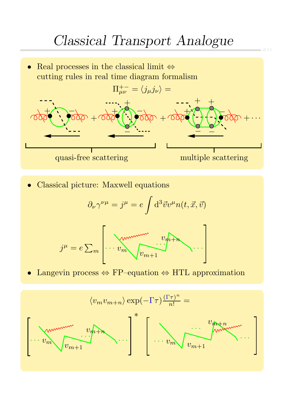

• Classical picture: Maxwell equations

$$
\partial_{\nu}\gamma^{\nu\mu} = j^{\mu} = e \int d^3 \vec{v} v^{\mu} n(t, \vec{x}, \vec{v})
$$

$$
j^{\mu} = e \sum_{m} \left[ \cdots v_{m} \underbrace{v_{m+1} \cdots v_{m+1}}_{v_{m+1}} \cdots \right] \cdots
$$

• Langevin process ⇔ FP–equation ⇔ HTL approximation